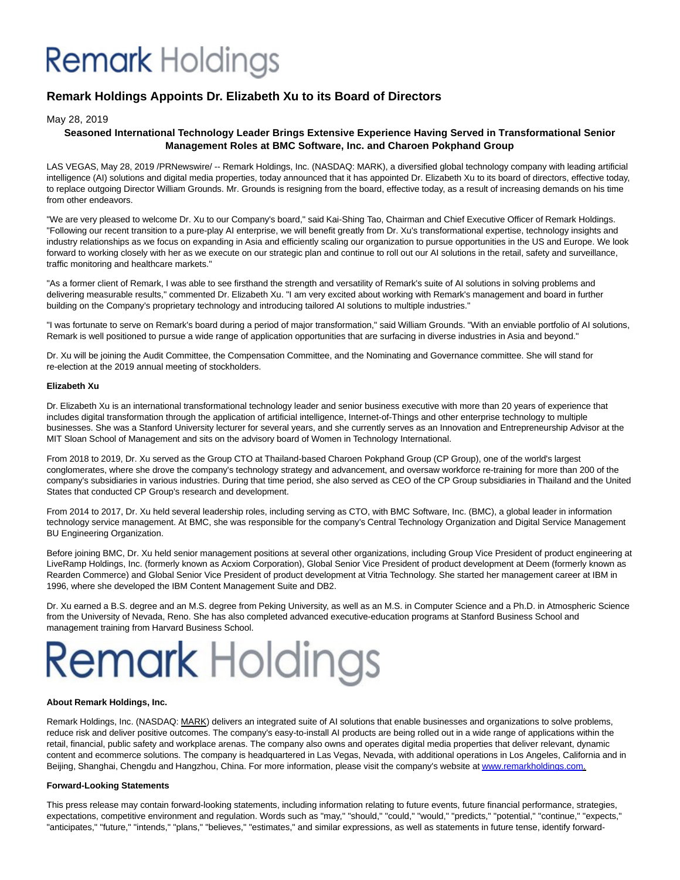# **Remark** Holdings

## **Remark Holdings Appoints Dr. Elizabeth Xu to its Board of Directors**

#### May 28, 2019

### **Seasoned International Technology Leader Brings Extensive Experience Having Served in Transformational Senior Management Roles at BMC Software, Inc. and Charoen Pokphand Group**

LAS VEGAS, May 28, 2019 /PRNewswire/ -- Remark Holdings, Inc. (NASDAQ: MARK), a diversified global technology company with leading artificial intelligence (AI) solutions and digital media properties, today announced that it has appointed Dr. Elizabeth Xu to its board of directors, effective today, to replace outgoing Director William Grounds. Mr. Grounds is resigning from the board, effective today, as a result of increasing demands on his time from other endeavors.

"We are very pleased to welcome Dr. Xu to our Company's board," said Kai-Shing Tao, Chairman and Chief Executive Officer of Remark Holdings. "Following our recent transition to a pure-play AI enterprise, we will benefit greatly from Dr. Xu's transformational expertise, technology insights and industry relationships as we focus on expanding in Asia and efficiently scaling our organization to pursue opportunities in the US and Europe. We look forward to working closely with her as we execute on our strategic plan and continue to roll out our AI solutions in the retail, safety and surveillance, traffic monitoring and healthcare markets."

"As a former client of Remark, I was able to see firsthand the strength and versatility of Remark's suite of AI solutions in solving problems and delivering measurable results," commented Dr. Elizabeth Xu. "I am very excited about working with Remark's management and board in further building on the Company's proprietary technology and introducing tailored AI solutions to multiple industries."

"I was fortunate to serve on Remark's board during a period of major transformation," said William Grounds. "With an enviable portfolio of AI solutions, Remark is well positioned to pursue a wide range of application opportunities that are surfacing in diverse industries in Asia and beyond."

Dr. Xu will be joining the Audit Committee, the Compensation Committee, and the Nominating and Governance committee. She will stand for re-election at the 2019 annual meeting of stockholders.

#### **Elizabeth Xu**

Dr. Elizabeth Xu is an international transformational technology leader and senior business executive with more than 20 years of experience that includes digital transformation through the application of artificial intelligence, Internet-of-Things and other enterprise technology to multiple businesses. She was a Stanford University lecturer for several years, and she currently serves as an Innovation and Entrepreneurship Advisor at the MIT Sloan School of Management and sits on the advisory board of Women in Technology International.

From 2018 to 2019, Dr. Xu served as the Group CTO at Thailand-based Charoen Pokphand Group (CP Group), one of the world's largest conglomerates, where she drove the company's technology strategy and advancement, and oversaw workforce re-training for more than 200 of the company's subsidiaries in various industries. During that time period, she also served as CEO of the CP Group subsidiaries in Thailand and the United States that conducted CP Group's research and development.

From 2014 to 2017, Dr. Xu held several leadership roles, including serving as CTO, with BMC Software, Inc. (BMC), a global leader in information technology service management. At BMC, she was responsible for the company's Central Technology Organization and Digital Service Management BU Engineering Organization.

Before joining BMC, Dr. Xu held senior management positions at several other organizations, including Group Vice President of product engineering at LiveRamp Holdings, Inc. (formerly known as Acxiom Corporation), Global Senior Vice President of product development at Deem (formerly known as Rearden Commerce) and Global Senior Vice President of product development at Vitria Technology. She started her management career at IBM in 1996, where she developed the IBM Content Management Suite and DB2.

Dr. Xu earned a B.S. degree and an M.S. degree from Peking University, as well as an M.S. in Computer Science and a Ph.D. in Atmospheric Science from the University of Nevada, Reno. She has also completed advanced executive-education programs at Stanford Business School and management training from Harvard Business School.

# **Remark Holdings**

#### **About Remark Holdings, Inc.**

Remark Holdings, Inc. (NASDAQ: MARK) delivers an integrated suite of AI solutions that enable businesses and organizations to solve problems, reduce risk and deliver positive outcomes. The company's easy-to-install AI products are being rolled out in a wide range of applications within the retail, financial, public safety and workplace arenas. The company also owns and operates digital media properties that deliver relevant, dynamic content and ecommerce solutions. The company is headquartered in Las Vegas, Nevada, with additional operations in Los Angeles, California and in Beijing, Shanghai, Chengdu and Hangzhou, China. For more information, please visit the company's website a[t www.remarkholdings.com.](https://c212.net/c/link/?t=0&l=en&o=2479132-1&h=2174955256&u=http%3A%2F%2Fwww.remarkholdings.com%2F&a=www.remarkholdings.com)

#### **Forward-Looking Statements**

This press release may contain forward-looking statements, including information relating to future events, future financial performance, strategies, expectations, competitive environment and regulation. Words such as "may," "should," "could," "would," "predicts," "potential," "continue," "expects," "anticipates," "future," "intends," "plans," "believes," "estimates," and similar expressions, as well as statements in future tense, identify forward-